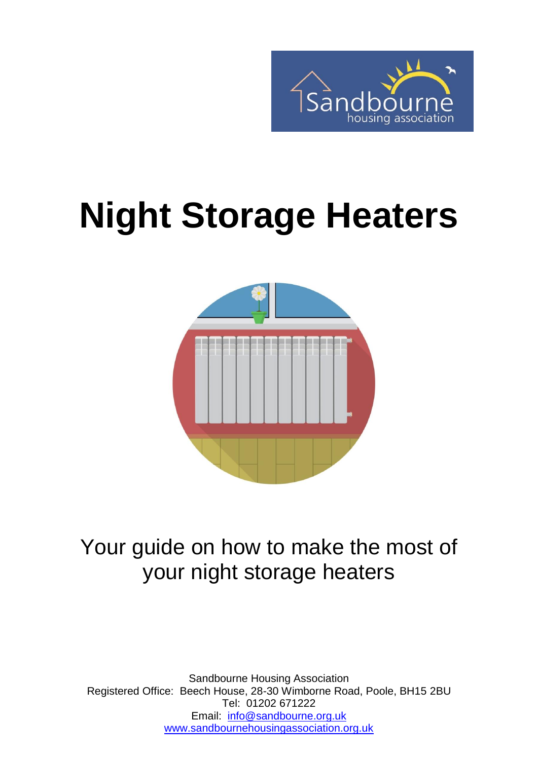

# **Night Storage Heaters**



# Your guide on how to make the most of your night storage heaters

Sandbourne Housing Association Registered Office: Beech House, 28-30 Wimborne Road, Poole, BH15 2BU Tel: 01202 671222 Email: [info@sandbourne.org.uk](mailto:info@sandbourne.org.uk) [www.sandbournehousingassociation.org.uk](http://www.sandbournehousingassociation.org.uk/)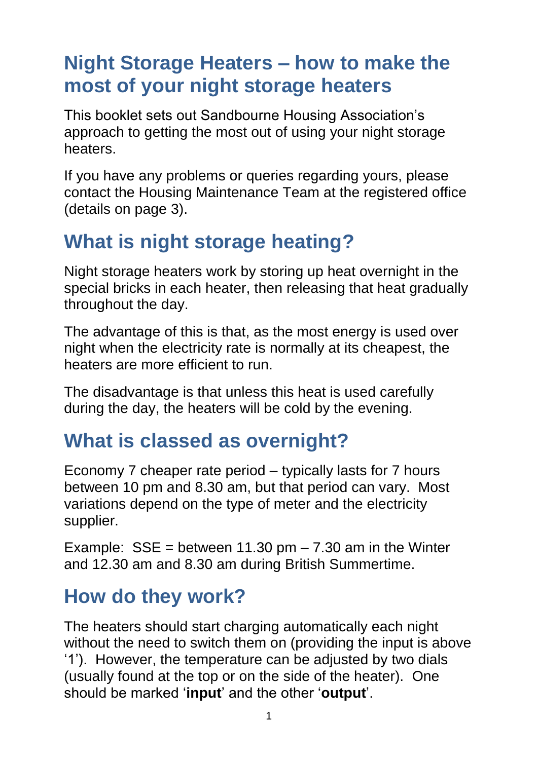## **Night Storage Heaters – how to make the most of your night storage heaters**

This booklet sets out Sandbourne Housing Association's approach to getting the most out of using your night storage heaters.

If you have any problems or queries regarding yours, please contact the Housing Maintenance Team at the registered office (details on page 3).

## **What is night storage heating?**

Night storage heaters work by storing up heat overnight in the special bricks in each heater, then releasing that heat gradually throughout the day.

The advantage of this is that, as the most energy is used over night when the electricity rate is normally at its cheapest, the heaters are more efficient to run.

The disadvantage is that unless this heat is used carefully during the day, the heaters will be cold by the evening.

## **What is classed as overnight?**

Economy 7 cheaper rate period – typically lasts for 7 hours between 10 pm and 8.30 am, but that period can vary. Most variations depend on the type of meter and the electricity supplier.

Example:  $SSE = between 11.30 \text{ pm} - 7.30 \text{ am in the Winter}$ and 12.30 am and 8.30 am during British Summertime.

## **How do they work?**

The heaters should start charging automatically each night without the need to switch them on (providing the input is above '1'). However, the temperature can be adjusted by two dials (usually found at the top or on the side of the heater). One should be marked '**input**' and the other '**output**'.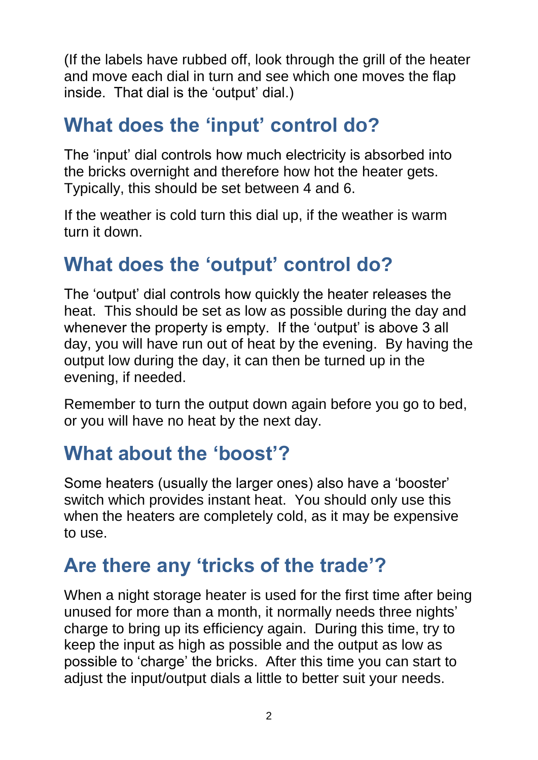(If the labels have rubbed off, look through the grill of the heater and move each dial in turn and see which one moves the flap inside. That dial is the 'output' dial.)

## **What does the 'input' control do?**

The 'input' dial controls how much electricity is absorbed into the bricks overnight and therefore how hot the heater gets. Typically, this should be set between 4 and 6.

If the weather is cold turn this dial up, if the weather is warm turn it down.

## **What does the 'output' control do?**

The 'output' dial controls how quickly the heater releases the heat. This should be set as low as possible during the day and whenever the property is empty. If the 'output' is above 3 all day, you will have run out of heat by the evening. By having the output low during the day, it can then be turned up in the evening, if needed.

Remember to turn the output down again before you go to bed, or you will have no heat by the next day.

## **What about the 'boost'?**

Some heaters (usually the larger ones) also have a 'booster' switch which provides instant heat. You should only use this when the heaters are completely cold, as it may be expensive to use.

## **Are there any 'tricks of the trade'?**

When a night storage heater is used for the first time after being unused for more than a month, it normally needs three nights' charge to bring up its efficiency again. During this time, try to keep the input as high as possible and the output as low as possible to 'charge' the bricks. After this time you can start to adjust the input/output dials a little to better suit your needs.